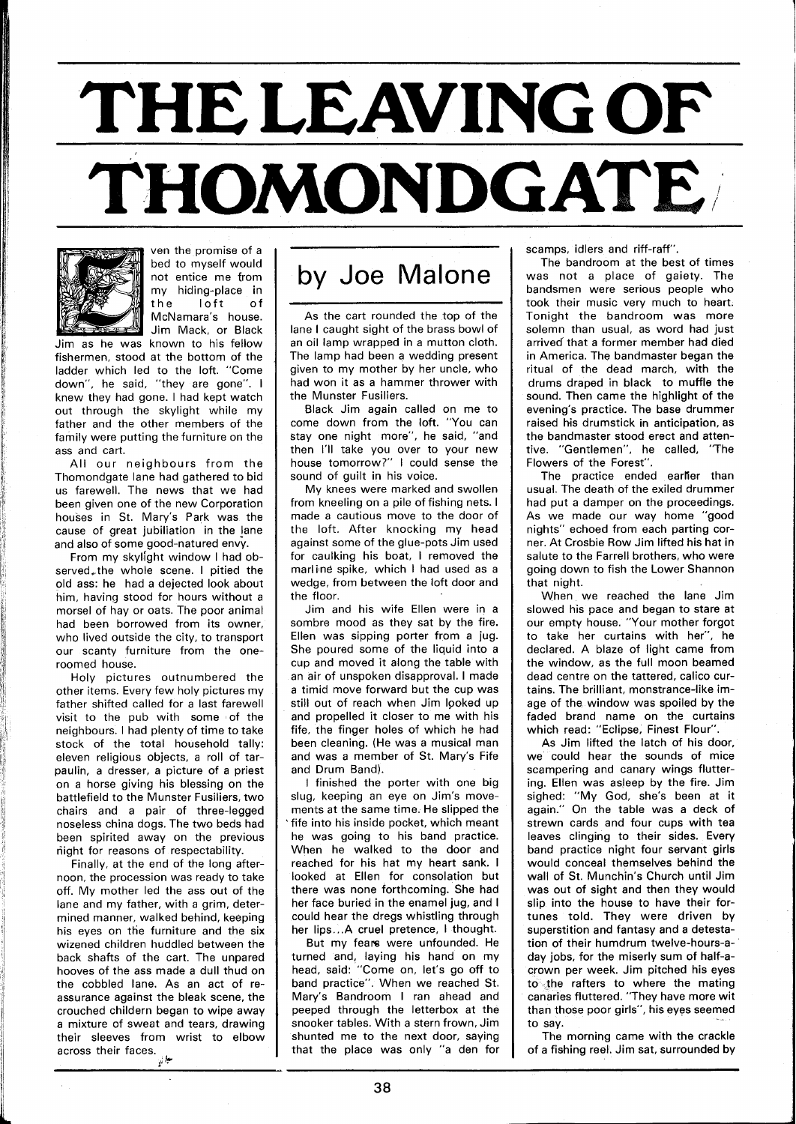## **THE LEAVING OF THOMONDGATE**



ven the promise of a bed to myself would not entice me from my hiding-place in the loft of McNamara's house. Jim Mack, or Black

Jim as he was known to his fellow fishermen, stood at the bottom of the ladder which led to the loft. "Come down", he said, "they are gone". I knew they had gone. I had kept watch out through the skylight while my father and the other members of the family were putting the furniture on the ass and cart.

All our neighbours from the Thomondgate lane had gathered to bid us farewell. The news that we had been given one of the new Corporation houses in St. Mary's Park was the cause of great jubiliation in the lane and also of some good-natured envy.

From my skylight window I had observed, the whole scene. I pitied the old ass: he had a dejected look about him, having stood for hours without a morsel of hay or oats. The poor animal had been borrowed from its owner, who lived outside the city, to transport our scanty furniture from the oneroomed house.

Holy pictures outnumbered the other items. Every few holy pictures my father shifted called for a last farewell visit to the pub with some of the neighbours. I had plenty of time to take stock of the total household tally: eleven religious objects, a roll of tarpaulin, a dresser, a picture of a priest on a horse giving his blessing on the battlefield to the Munster Fusiliers, two chairs and a pair of three-legged noseless china dogs. The two beds had been spirited away on the previous night for reasons of respectability.

Finally, at the end of the long afternoon, the procession was ready to take off. My mother led the ass out of the lane and my father, with a grim, determined manner, walked behind, keeping his eyes on the furniture and the six wizened children huddled between the back shafts of the cart. The unpared hooves of the ass made a dull thud on the cobbled lane. As an act of reassurance against the bleak scene, the crouched childern began to wipe away a mixture of sweat and tears, drawing their sleeves from wrist to elbow across their faces. *\*t* 

## by Joe Malone

As the cart rounded the top of the lane I caught sight of the brass bowl of an oil lamp wrapped in a mutton cloth. The lamp had been a wedding present given to my mother by her uncle, who had won it as a hammer thrower with the Munster Fusiliers.

Black Jim again called on me to come down from the loft. "You can stay one night more", he said, "and then I'll take you over to your new house tomorrow?" I could sense the sound of guilt in his voice.

My knees were marked and swollen from kneeling on a pile of fishing nets. I made a cautious move to the door of the loft. After knocking my head against some of the glue-pots Jim used for caulking his boat, I removed the marline spike, which I had used as a wedge, from between the loft door and the floor.

Jim and his wife Ellen were in a sombre mood as they sat by the fire. Ellen was sipping porter from a jug. She poured some of the liquid into a cup and moved it along the table with an air of unspoken disapproval. I made a timid move forward but the cup was still out of reach when Jim looked up and propelled it closer to me with his fife, the finger holes of which he had been cleaning. (He was a musical man and was a member of St. Mary's Fife and Drum Band).

I finished the porter with one big slug, keeping an eye on Jim's movements at the same time. He slipped the 'fife into his inside pocket, which meant he was going to his band practice. When he walked to the door and reached for his hat my heart sank. I looked at Ellen for consolation but there was none forthcoming. She had her face buried in the enamel jug, and I could hear the dregs whistling through her lips...A cruel pretence, I thought.

But my fears were unfounded. He turned and, laying his hand on my head, said: "Come on, let's go off to band practice". When we reached St. Mary's Bandroom I ran ahead and peeped through the letterbox at the snooker tables. With a stern frown, Jim shunted me to the next door, saying that the place was only "a den for scamps, idlers and riff-raff".

The bandroom at the best of times was not a place of gaiety. The bandsmen were serious people who took their music very much to heart. Tonight the bandroom was more solemn than usual, as word had just arrived that a former member had died in America. The bandmaster began the ritual of the dead march, with the drums draped in black to muffle the sound. Then came the highlight of the evening's practice. The base drummer raised his drumstick in anticipation, as the bandmaster stood erect and attentive. "Gentlemen", he called, "The Flowers of the Forest".

The practice ended earlier than usual. The death of the exiled drummer had put a damper on the proceedings. As we made our way home "good nights" echoed from each parting corner. At Crosbie Row Jim lifted his hat in salute to the Farrell brothers, who were going down to fish the Lower Shannon that night.

When we reached the lane Jim slowed his pace and began to stare at our empty house. "Your mother forgot to take her curtains with her", he declared. A blaze of light came from the window, as the full moon beamed dead centre on the tattered, calico curtains. The brilliant, monstrance-like image of the window was spoiled by the faded brand name on the curtains which read: "Eclipse, Finest Flour".

As Jim lifted the latch of his door, we could hear the sounds of mice scampering and canary wings fluttering. Ellen was asleep by the fire. Jim sighed: "My God, she's been at it again." On the table was a deck of strewn cards and four cups with tea leaves clinging to their sides. Every band practice night four servant girls would conceal themselves behind the wall of St. Munchin's Church until Jim was out of sight and then they would slip into the house to have their fortunes told. They were driven by superstition and fantasy and a detestation of their humdrum twelve-hours-aday jobs, for the miserly sum of half-acrown per week. Jim pitched his eyes to the rafters to where the mating canaries fluttered. "They have more wit than those poor girls", his eyes seemed to say.

The morning came with the crackle of a fishing reel. Jim sat, surrounded by